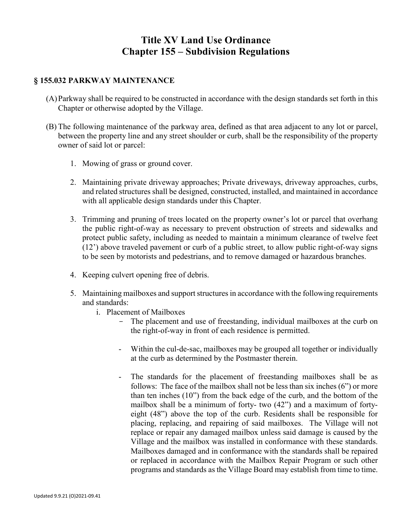## **Title XV Land Use Ordinance Chapter 155 – Subdivision Regulations**

## **§ 155.032 PARKWAY MAINTENANCE**

- (A)Parkway shall be required to be constructed in accordance with the design standards set forth in this Chapter or otherwise adopted by the Village.
- (B) The following maintenance of the parkway area, defined as that area adjacent to any lot or parcel, between the property line and any street shoulder or curb, shall be the responsibility of the property owner of said lot or parcel:
	- 1. Mowing of grass or ground cover.
	- 2. Maintaining private driveway approaches; Private driveways, driveway approaches, curbs, and related structures shall be designed, constructed, installed, and maintained in accordance with all applicable design standards under this Chapter.
	- 3. Trimming and pruning of trees located on the property owner's lot or parcel that overhang the public right-of-way as necessary to prevent obstruction of streets and sidewalks and protect public safety, including as needed to maintain a minimum clearance of twelve feet (12') above traveled pavement or curb of a public street, to allow public right-of-way signs to be seen by motorists and pedestrians, and to remove damaged or hazardous branches.
	- 4. Keeping culvert opening free of debris.
	- 5. Maintaining mailboxes and support structuresin accordance with the following requirements and standards:
		- i. Placement of Mailboxes
			- The placement and use of freestanding, individual mailboxes at the curb on the right-of-way in front of each residence is permitted.
			- Within the cul-de-sac, mailboxes may be grouped all together or individually at the curb as determined by the Postmaster therein.
			- The standards for the placement of freestanding mailboxes shall be as follows: The face of the mailbox shall not be less than six inches (6") or more than ten inches (10") from the back edge of the curb, and the bottom of the mailbox shall be a minimum of forty- two (42") and a maximum of fortyeight (48") above the top of the curb. Residents shall be responsible for placing, replacing, and repairing of said mailboxes. The Village will not replace or repair any damaged mailbox unless said damage is caused by the Village and the mailbox was installed in conformance with these standards. Mailboxes damaged and in conformance with the standards shall be repaired or replaced in accordance with the Mailbox Repair Program or such other programs and standards as the Village Board may establish from time to time.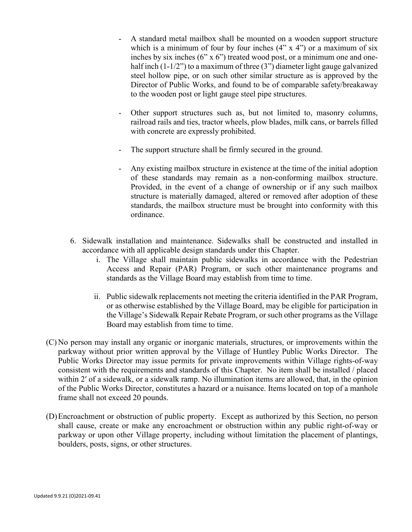- A standard metal mailbox shall be mounted on a wooden support structure which is a minimum of four by four inches  $(4" \times 4")$  or a maximum of six inches by six inches (6" x 6") treated wood post, or a minimum one and onehalf inch  $(1-1/2)$  to a maximum of three  $(3)$  diameter light gauge galvanized steel hollow pipe, or on such other similar structure as is approved by the Director of Public Works, and found to be of comparable safety/breakaway to the wooden post or light gauge steel pipe structures.
- Other support structures such as, but not limited to, masonry columns, railroad rails and ties, tractor wheels, plow blades, milk cans, or barrels filled with concrete are expressly prohibited.
- The support structure shall be firmly secured in the ground.
- Any existing mailbox structure in existence at the time of the initial adoption of these standards may remain as a non-conforming mailbox structure. Provided, in the event of a change of ownership or if any such mailbox structure is materially damaged, altered or removed after adoption of these standards, the mailbox structure must be brought into conformity with this ordinance.
- 6. Sidewalk installation and maintenance. Sidewalks shall be constructed and installed in accordance with all applicable design standards under this Chapter.
	- i. The Village shall maintain public sidewalks in accordance with the Pedestrian Access and Repair (PAR) Program, or such other maintenance programs and standards as the Village Board may establish from time to time.
	- ii. Public sidewalk replacements not meeting the criteria identified in the PAR Program, or as otherwise established by the Village Board, may be eligible for participation in the Village's Sidewalk Repair Rebate Program, or such other programs as the Village Board may establish from time to time.
- (C) No person may install any organic or inorganic materials, structures, or improvements within the parkway without prior written approval by the Village of Huntley Public Works Director. The Public Works Director may issue permits for private improvements within Village rights-of-way consistent with the requirements and standards of this Chapter. No item shall be installed / placed within 2' of a sidewalk, or a sidewalk ramp. No illumination items are allowed, that, in the opinion of the Public Works Director, constitutes a hazard or a nuisance. Items located on top of a manhole frame shall not exceed 20 pounds.
- (D)Encroachment or obstruction of public property. Except as authorized by this Section, no person shall cause, create or make any encroachment or obstruction within any public right-of-way or parkway or upon other Village property, including without limitation the placement of plantings, boulders, posts, signs, or other structures.